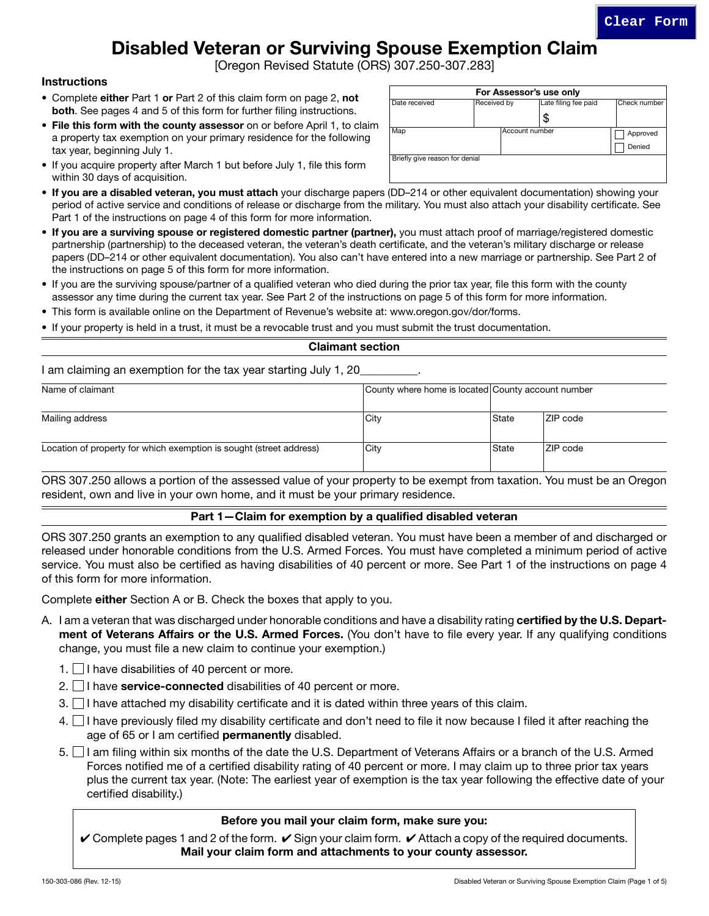# Disabled Veteran or Surviving Spouse Exemption Claim

[Oregon Revised Statute (ORS) 307.250-307.283]

#### **Instructions**

- Complete either Part 1 or Part 2 of this claim form on page 2, not both. See pages 4 and 5 of this form for further filing instructions.
- File this form with the county assessor on or before April 1, to claim a property tax exemption on your primary residence for the following tax year, beginning July 1.
- If you acquire property after March 1 but before July 1, file this form within 30 days of acquisition.
- If you are a disabled veteran, you must attach your discharge papers (DD–214 or other equivalent documentation) showing your period of active service and conditions of release or discharge from the military. You must also attach your disability certificate. See Part 1 of the instructions on page 4 of this form for more information.
- If you are a surviving spouse or registered domestic partner (partner), you must attach proof of marriage/registered domestic partnership (partnership) to the deceased veteran, the veteran's death certificate, and the veteran's military discharge or release papers (DD–214 or other equivalent documentation). You also can't have entered into a new marriage or partnership. See Part 2 of the instructions on page 5 of this form for more information.
- If you are the surviving spouse/partner of a qualified veteran who died during the prior tax year, file this form with the county assessor any time during the current tax year. See Part 2 of the instructions on page 5 of this form for more information.
- This form is available online on the Department of Revenue's website at: www.oregon.gov/dor/forms.
- If your property is held in a trust, it must be a revocable trust and you must submit the trust documentation.

#### Claimant section

I am claiming an exemption for the tax year starting July 1, 20

| Name of claimant                                                    | County where home is located County account number |       |                 |
|---------------------------------------------------------------------|----------------------------------------------------|-------|-----------------|
| Mailing address                                                     | City                                               | State | <b>ZIP</b> code |
| Location of property for which exemption is sought (street address) | City                                               | State | <b>ZIP</b> code |

ORS 307.250 allows a portion of the assessed value of your property to be exempt from taxation. You must be an Oregon resident, own and live in your own home, and it must be your primary residence.

#### Part 1—Claim for exemption by a qualified disabled veteran

ORS 307.250 grants an exemption to any qualified disabled veteran. You must have been a member of and discharged or released under honorable conditions from the U.S. Armed Forces. You must have completed a minimum period of active service. You must also be certified as having disabilities of 40 percent or more. See Part 1 of the instructions on page 4 of this form for more information.

Complete either Section A or B. Check the boxes that apply to you.

- A. I am a veteran that was discharged under honorable conditions and have a disability rating **certified by the U.S. Depart**ment of Veterans Affairs or the U.S. Armed Forces. (You don't have to file every year. If any qualifying conditions change, you must file a new claim to continue your exemption.)
	- 1.  $\Box$  I have disabilities of 40 percent or more.
	- 2.  $\Box$  I have service-connected disabilities of 40 percent or more.
	- $3.$  I have attached my disability certificate and it is dated within three years of this claim.
	- $4.$  I have previously filed my disability certificate and don't need to file it now because I filed it after reaching the age of 65 or I am certified **permanently** disabled.
	- 5. I am filing within six months of the date the U.S. Department of Veterans Affairs or a branch of the U.S. Armed Forces notified me of a certified disability rating of 40 percent or more. I may claim up to three prior tax years plus the current tax year. (Note: The earliest year of exemption is the tax year following the effective date of your certified disability.)

#### Before you mail your claim form, make sure you:

 $\vee$  Complete pages 1 and 2 of the form.  $\vee$  Sign your claim form.  $\vee$  Attach a copy of the required documents. Mail your claim form and attachments to your county assessor.

| Date received                  | Received by | Late filing fee paid | Check number |
|--------------------------------|-------------|----------------------|--------------|
|                                |             | \$                   |              |
| Map                            |             | Account number       |              |
|                                |             |                      | Denied       |
| Briefly give reason for denial |             |                      |              |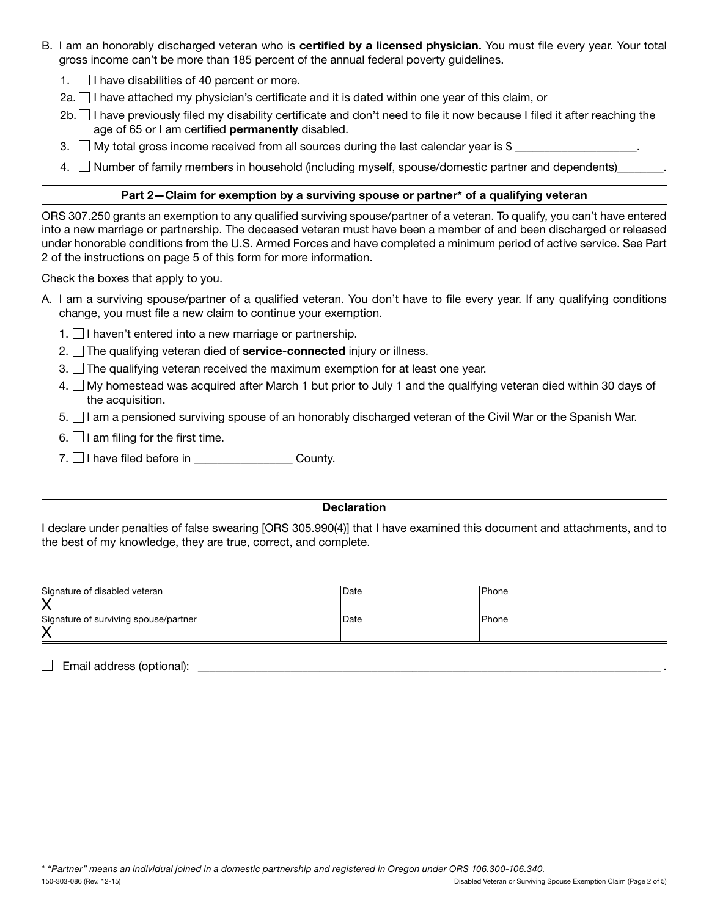- B. I am an honorably discharged veteran who is certified by a licensed physician. You must file every year. Your total gross income can't be more than 185 percent of the annual federal poverty guidelines.
	- 1.  $\Box$  I have disabilities of 40 percent or more.
	- 2a.  $\Box$  I have attached my physician's certificate and it is dated within one year of this claim, or
	- 2b. I have previously filed my disability certificate and don't need to file it now because I filed it after reaching the age of 65 or I am certified permanently disabled.
	- 3.  $\Box$  My total gross income received from all sources during the last calendar year is \$
	- 4. Number of family members in household (including myself, spouse/domestic partner and dependents)\_\_\_\_\_\_\_

#### Part 2—Claim for exemption by a surviving spouse or partner\* of a qualifying veteran

ORS 307.250 grants an exemption to any qualified surviving spouse/partner of a veteran. To qualify, you can't have entered into a new marriage or partnership. The deceased veteran must have been a member of and been discharged or released under honorable conditions from the U.S. Armed Forces and have completed a minimum period of active service. See Part 2 of the instructions on page 5 of this form for more information.

Check the boxes that apply to you.

- A. I am a surviving spouse/partner of a qualified veteran. You don't have to file every year. If any qualifying conditions change, you must file a new claim to continue your exemption.
	- 1. I haven't entered into a new marriage or partnership.
	- 2.  $\Box$  The qualifying veteran died of **service-connected** injury or illness.
	- 3.  $\Box$  The qualifying veteran received the maximum exemption for at least one year.
	- 4. My homestead was acquired after March 1 but prior to July 1 and the qualifying veteran died within 30 days of the acquisition.
	- 5. I am a pensioned surviving spouse of an honorably discharged veteran of the Civil War or the Spanish War.
	- 6.  $\Box$  I am filing for the first time.
	- 7.  $\Box$  I have filed before in \_\_\_\_\_\_\_\_\_\_\_\_\_\_\_\_\_\_\_\_\_ County.

#### **Declaration**

I declare under penalties of false swearing [ORS 305.990(4)] that I have examined this document and attachments, and to the best of my knowledge, they are true, correct, and complete.

| Signature of disabled veteran         | Date | <b>Phone</b> |
|---------------------------------------|------|--------------|
|                                       |      |              |
| Signature of surviving spouse/partner | Date | l Phone      |
| ↗                                     |      |              |

 $\boxed{\qquad \qquad \text{Email address (optional):}\qquad \qquad \qquad \text{________}$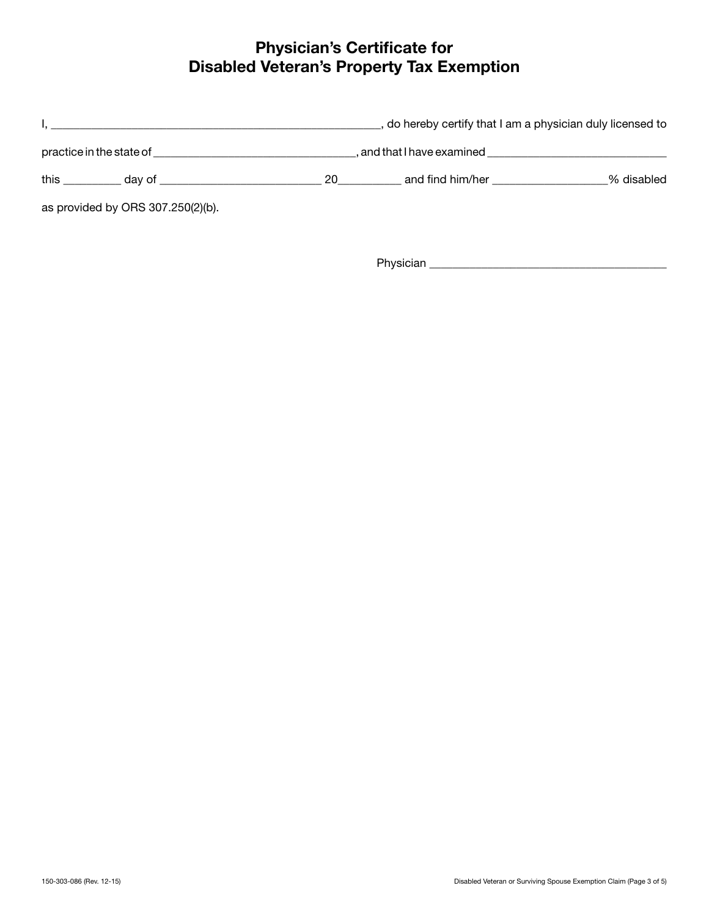## Physician's Certificate for Disabled Veteran's Property Tax Exemption



Physician \_\_\_\_\_\_\_\_\_\_\_\_\_\_\_\_\_\_\_\_\_\_\_\_\_\_\_\_\_\_\_\_\_\_\_\_\_\_\_\_\_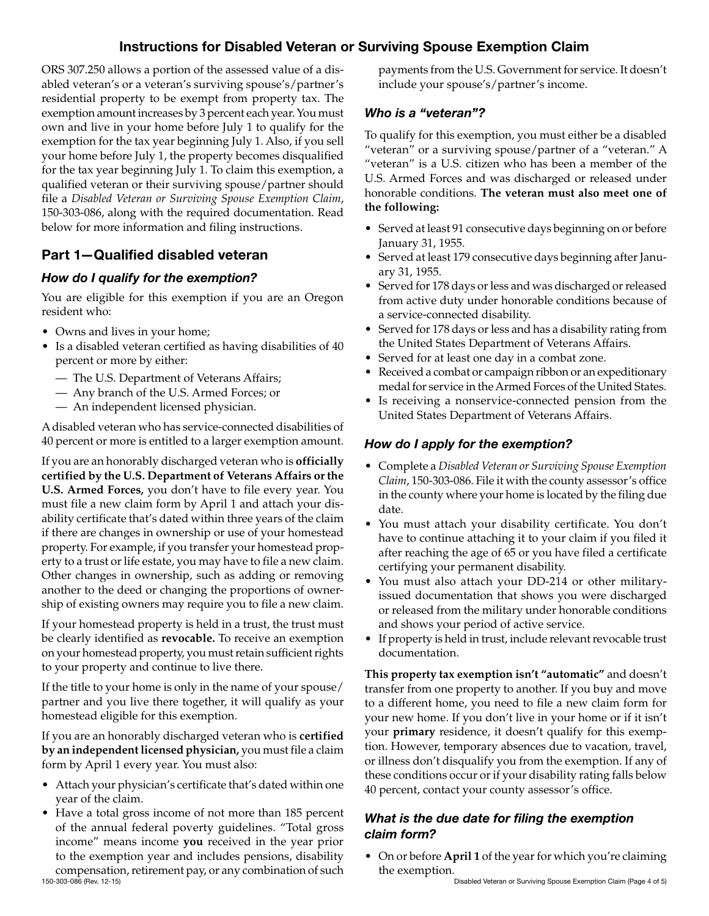### Instructions for Disabled Veteran or Surviving Spouse Exemption Claim

ORS 307.250 allows a portion of the assessed value of a disabled veteran's or a veteran's surviving spouse's/partner's residential property to be exempt from property tax. The exemption amount increases by 3 percent each year. You must own and live in your home before July 1 to qualify for the exemption for the tax year beginning July 1. Also, if you sell your home before July 1, the property becomes disqualified for the tax year beginning July 1. To claim this exemption, a qualified veteran or their surviving spouse/partner should file a *Disabled Veteran or Surviving Spouse Exemption Claim*, 150-303-086, along with the required documentation. Read below for more information and filing instructions.

### Part 1—Qualified disabled veteran

### *How do I qualify for the exemption?*

You are eligible for this exemption if you are an Oregon resident who:

- Owns and lives in your home;
- Is a disabled veteran certified as having disabilities of 40 percent or more by either:
	- The U.S. Department of Veterans Affairs;
	- Any branch of the U.S. Armed Forces; or
	- An independent licensed physician.

A disabled veteran who has service-connected disabilities of 40 percent or more is entitled to a larger exemption amount.

If you are an honorably discharged veteran who is **officially certified by the U.S. Department of Veterans Affairs or the U.S. Armed Forces,** you don't have to file every year. You must file a new claim form by April 1 and attach your disability certificate that's dated within three years of the claim if there are changes in ownership or use of your homestead property. For example, if you transfer your homestead property to a trust or life estate, you may have to file a new claim. Other changes in ownership, such as adding or removing another to the deed or changing the proportions of ownership of existing owners may require you to file a new claim.

If your homestead property is held in a trust, the trust must be clearly identified as **revocable.** To receive an exemption on your homestead property, you must retain sufficient rights to your property and continue to live there.

If the title to your home is only in the name of your spouse/ partner and you live there together, it will qualify as your homestead eligible for this exemption.

If you are an honorably discharged veteran who is **certified by an independent licensed physician,** you must file a claim form by April 1 every year. You must also:

- Attach your physician's certificate that's dated within one year of the claim.
- 150-303-086 (Rev. 12-15) **150-303-086** (Rev. 12-15) **150-303-086** (Rev. 12-15) **150-303-086** (Rev. 12-15) **150-303-086** (Rev. 12-15) • Have a total gross income of not more than 185 percent of the annual federal poverty guidelines. "Total gross income" means income **you** received in the year prior to the exemption year and includes pensions, disability compensation, retirement pay, or any combination of such

payments from the U.S. Government for service. It doesn't include your spouse's/partner's income.

### *Who is a "veteran"?*

To qualify for this exemption, you must either be a disabled "veteran" or a surviving spouse/partner of a "veteran." A "veteran" is a U.S. citizen who has been a member of the U.S. Armed Forces and was discharged or released under honorable conditions. **The veteran must also meet one of the following:**

- Served at least 91 consecutive days beginning on or before January 31, 1955.
- Served at least 179 consecutive days beginning after January 31, 1955.
- Served for 178 days or less and was discharged or released from active duty under honorable conditions because of a service-connected disability.
- Served for 178 days or less and has a disability rating from the United States Department of Veterans Affairs.
- Served for at least one day in a combat zone.
- Received a combat or campaign ribbon or an expeditionary medal for service in the Armed Forces of the United States.
- Is receiving a nonservice-connected pension from the United States Department of Veterans Affairs.

### *How do I apply for the exemption?*

- Complete a *Disabled Veteran or Surviving Spouse Exemption Claim*, 150-303-086. File it with the county assessor's office in the county where your home is located by the filing due date.
- You must attach your disability certificate. You don't have to continue attaching it to your claim if you filed it after reaching the age of 65 or you have filed a certificate certifying your permanent disability.
- You must also attach your DD-214 or other militaryissued documentation that shows you were discharged or released from the military under honorable conditions and shows your period of active service.
- If property is held in trust, include relevant revocable trust documentation.

**This property tax exemption isn't "automatic"** and doesn't transfer from one property to another. If you buy and move to a different home, you need to file a new claim form for your new home. If you don't live in your home or if it isn't your **primary** residence, it doesn't qualify for this exemption. However, temporary absences due to vacation, travel, or illness don't disqualify you from the exemption. If any of these conditions occur or if your disability rating falls below 40 percent, contact your county assessor's office.

### *What is the due date for filing the exemption claim form?*

• On or before **April 1** of the year for which you're claiming the exemption.